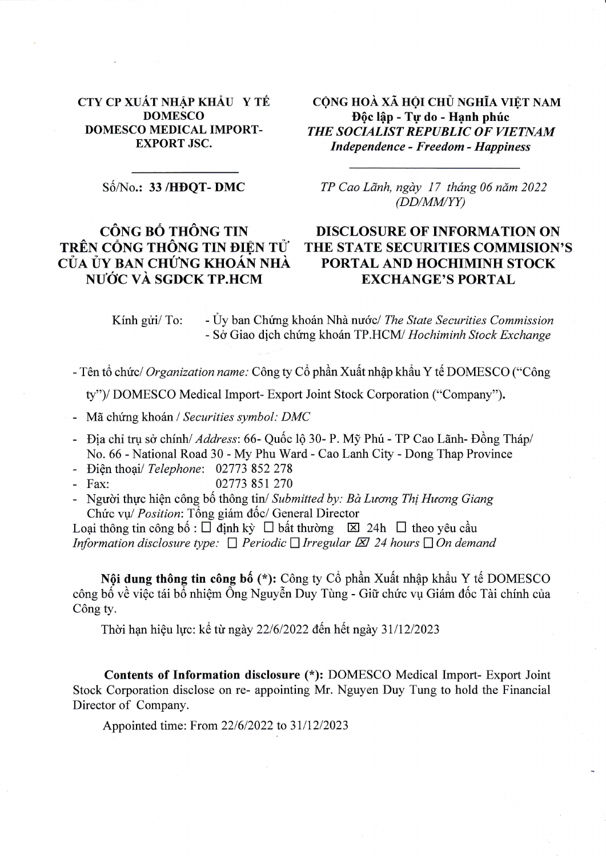## CTY CP XUẤT NHẬP KHẨU Y TẾ **DOMESCO DOMESCO MEDICAL IMPORT-EXPORT JSC.**

CÔNG HOÀ XÃ HỘI CHỦ NGHĨA VIẾT NAM Độc lập - Tự do - Hạnh phúc THE SOCIALIST REPUBLIC OF VIETNAM **Independence - Freedom - Happiness** 

Số/No.: 33 /HĐQT-DMC

## CÔNG BỐ THÔNG TIN TRÊN CỒNG THÔNG TIN ĐIÊN TỬ CỦA ỦY BAN CHỨNG KHOÁN NHÀ NƯỚC VÀ SGDCK TP.HCM

TP Cao Lãnh, ngày 17 tháng 06 năm 2022  $(DD/MMYY)$ 

## **DISCLOSURE OF INFORMATION ON** THE STATE SECURITIES COMMISION'S PORTAL AND HOCHIMINH STOCK **EXCHANGE'S PORTAL**

Kính gửi/ To: - Úy ban Chứng khoán Nhà nước/ The State Securities Commission - Sở Giao dịch chứng khoán TP.HCM/ Hochiminh Stock Exchange

- Tên tổ chức/ Organization name: Công ty Cổ phần Xuất nhập khẩu Y tế DOMESCO ("Công

ty")/DOMESCO Medical Import-Export Joint Stock Corporation ("Company").

- Mã chứng khoán / Securities symbol: DMC
- Địa chỉ trụ sở chính/ Address: 66- Quốc lộ 30- P. Mỹ Phú TP Cao Lãnh- Đồng Tháp/ No. 66 - National Road 30 - My Phu Ward - Cao Lanh City - Dong Thap Province
- Điện thoại/ Telephone: 02773 852 278
- 02773 851 270  $-$  Fax:
- Người thực hiện công bố thông tin/ Submitted by: Bà Lương Thị Hương Giang Chức vụ/ Position: Tổng giám đốc/ General Director

Loại thông tin công bố :  $\Box$  định kỳ  $\Box$  bất thường  $\boxtimes$  24h  $\Box$  theo yêu cầu Information disclosure type:  $\Box$  Periodic  $\Box$  Irregular  $\boxtimes$  24 hours  $\Box$  On demand

Nội dung thông tin công bố (\*): Công ty Cổ phần Xuất nhập khẩu Y tế DOMESCO công bố về việc tái bổ nhiệm Ông Nguyễn Duy Tùng - Giữ chức vụ Giám đốc Tài chính của Công ty.

Thời hạn hiệu lực: kể từ ngày 22/6/2022 đến hết ngày 31/12/2023

Contents of Information disclosure (\*): DOMESCO Medical Import- Export Joint Stock Corporation disclose on re- appointing Mr. Nguyen Duy Tung to hold the Financial Director of Company.

Appointed time: From 22/6/2022 to 31/12/2023